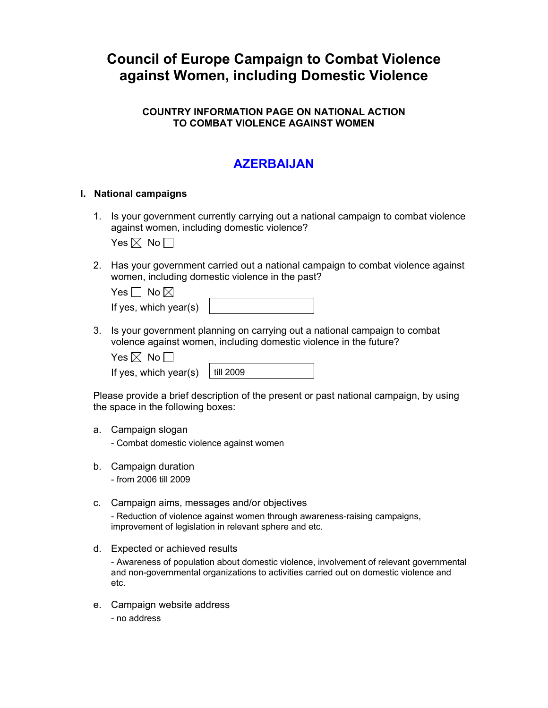# **Council of Europe Campaign to Combat Violence against Women, including Domestic Violence**

### **COUNTRY INFORMATION PAGE ON NATIONAL ACTION TO COMBAT VIOLENCE AGAINST WOMEN**

## **AZERBAIJAN**

#### **I. National campaigns**

1. Is your government currently carrying out a national campaign to combat violence against women, including domestic violence?

Yes  $\boxtimes$  No  $\Box$ 

2. Has your government carried out a national campaign to combat violence against women, including domestic violence in the past?

| Yes $\Box$ No $\boxtimes$ |  |
|---------------------------|--|
| If yes, which year(s)     |  |

3. Is your government planning on carrying out a national campaign to combat volence against women, including domestic violence in the future?

| ЖL<br>$-51$ | N٥ |
|-------------|----|
|-------------|----|

If yes, which year(s)  $\vert$  till 2

| 2009 |
|------|
|      |

Please provide a brief description of the present or past national campaign, by using the space in the following boxes:

a. Campaign slogan

- Combat domestic violence against women

b. Campaign duration

- from 2006 till 2009

c. Campaign aims, messages and/or objectives

- Reduction of violence against women through awareness-raising campaigns, improvement of legislation in relevant sphere and etc.

d. Expected or achieved results

- Awareness of population about domestic violence, involvement of relevant governmental and non-governmental organizations to activities carried out on domestic violence and etc.

- e. Campaign website address
	- no address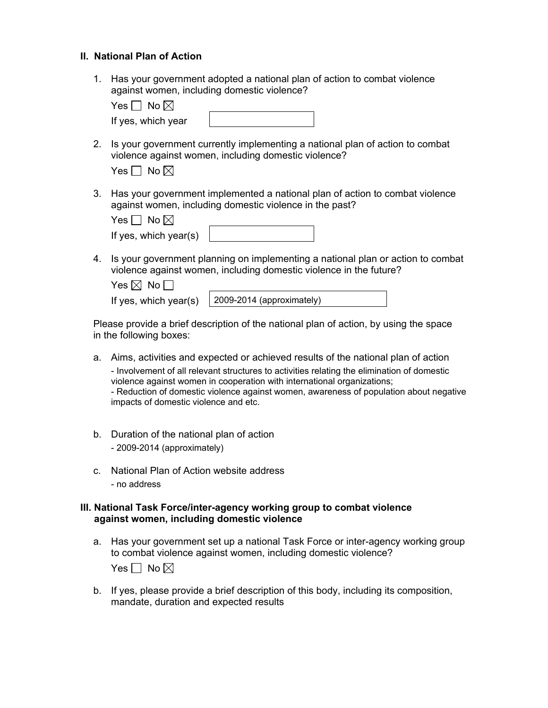#### **II. National Plan of Action**

1. Has your government adopted a national plan of action to combat violence against women, including domestic violence?

| $\cdot$<br>I<br>Yes <u> </u> | Nο |  |  |
|------------------------------|----|--|--|
|                              |    |  |  |

2. Is your government currently implementing a national plan of action to combat violence against women, including domestic violence?

| es | No $\boxtimes$ |
|----|----------------|
|----|----------------|

If yes, which year

3. Has your government implemented a national plan of action to combat violence against women, including domestic violence in the past?

| Yes $\Box$ No $\boxtimes$ |  |
|---------------------------|--|
| If yes, which year(s)     |  |

4. Is your government planning on implementing a national plan or action to combat violence against women, including domestic violence in the future?

| Yes $\boxtimes$ No $\Box$ |  |
|---------------------------|--|
|                           |  |

If yes, which year(s) 2009-2014 (approximately)

Please provide a brief description of the national plan of action, by using the space in the following boxes:

- a. Aims, activities and expected or achieved results of the national plan of action - Involvement of all relevant structures to activities relating the elimination of domestic violence against women in cooperation with international organizations; - Reduction of domestic violence against women, awareness of population about negative impacts of domestic violence and etc.
- b. Duration of the national plan of action - 2009-2014 (approximately)
- c. National Plan of Action website address - no address

#### **III. National Task Force/inter-agency working group to combat violence against women, including domestic violence**

a. Has your government set up a national Task Force or inter-agency working group to combat violence against women, including domestic violence?

Yes  $\Box$  No  $\boxtimes$ 

b. If yes, please provide a brief description of this body, including its composition, mandate, duration and expected results